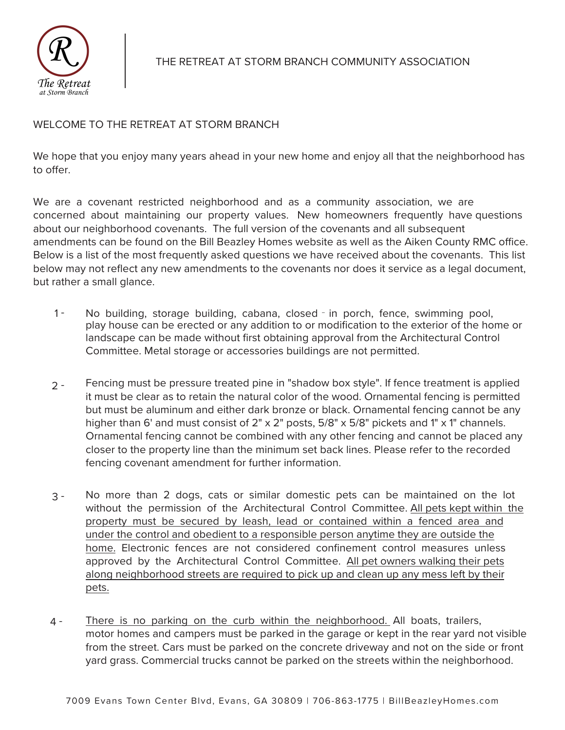

## WELCOME TO THE RETREAT AT STORM BRANCH

We hope that you enjoy many years ahead in your new home and enjoy all that the neighborhood has to offer.

We are a covenant restricted neighborhood and as a community association, we are concerned about maintaining our property values. New homeowners frequently have questions about our neighborhood covenants. The full version of the covenants and all subsequent amendments can be found on the Bill Beazley Homes website as well as the Aiken County RMC office. Below is a list of the most frequently asked questions we have received about the covenants. This list below may not reflect any new amendments to the covenants nor does it service as a legal document, but rather a small glance.

- $1 -$ No building, storage building, cabana, closed - in porch, fence, swimming pool, play house can be erected or any addition to or modification to the exterior of the home or landscape can be made without first obtaining approval from the Architectural Control Committee. Metal storage or accessories buildings are not permitted.
- $2 -$ Fencing must be pressure treated pine in "shadow box style". If fence treatment is applied it must be clear as to retain the natural color of the wood. Ornamental fencing is permitted but must be aluminum and either dark bronze or black. Ornamental fencing cannot be any higher than 6' and must consist of 2" x 2" posts, 5/8" x 5/8" pickets and 1" x 1" channels. Ornamental fencing cannot be combined with any other fencing and cannot be placed any closer to the property line than the minimum set back lines. Please refer to the recorded fencing covenant amendment for further information.
- 3 No more than 2 dogs, cats or similar domestic pets can be maintained on the lot without the permission of the Architectural Control Committee. All pets kept within the property must be secured by leash, lead or contained within a fenced area and under the control and obedient to a responsible person anytime they are outside the home. Electronic fences are not considered confinement control measures unless approved by the Architectural Control Committee. All pet owners walking their pets along neighborhood streets are required to pick up and clean up any mess left by their pets.
- There is no parking on the curb within the neighborhood. All boats, trailers, motor homes and campers must be parked in the garage or kept in the rear yard not visible from the street. Cars must be parked on the concrete driveway and not on the side or front yard grass. Commercial trucks cannot be parked on the streets within the neighborhood. 4 -